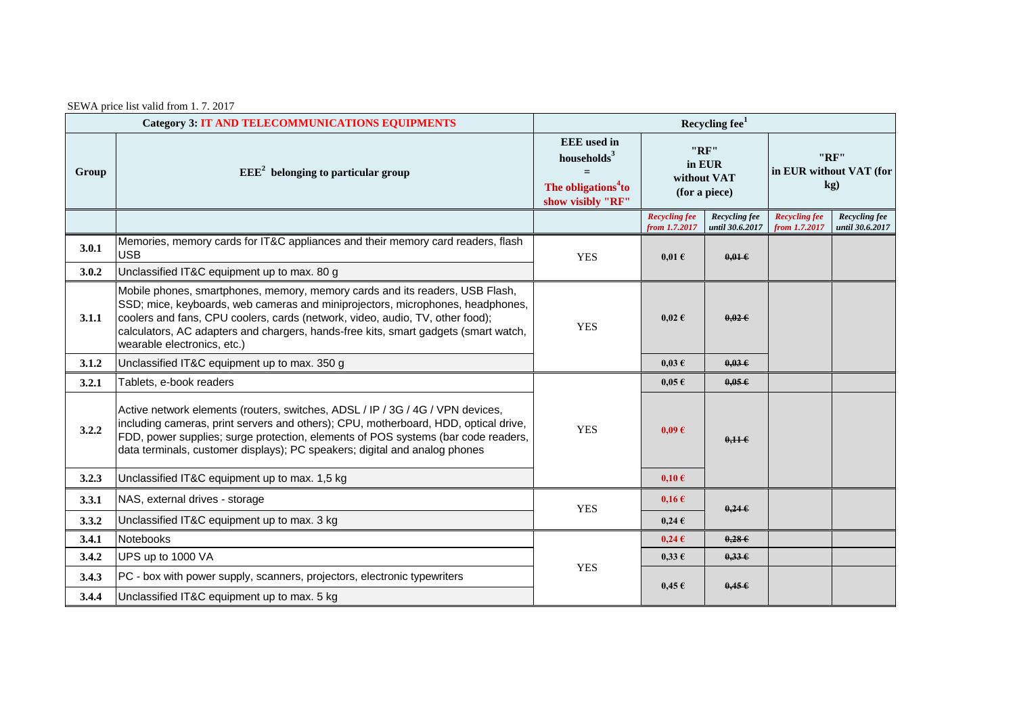| SEWA price list valid from 1.7.2017 |  |  |  |  |
|-------------------------------------|--|--|--|--|
|                                     |  |  |  |  |

| <b>Category 3: IT AND TELECOMMUNICATIONS EQUIPMENTS</b> |                                                                                                                                                                                                                                                                                                                                                                       | Recycling fee <sup>1</sup>                                                                          |                                                |                                  |                                        |                                  |  |
|---------------------------------------------------------|-----------------------------------------------------------------------------------------------------------------------------------------------------------------------------------------------------------------------------------------------------------------------------------------------------------------------------------------------------------------------|-----------------------------------------------------------------------------------------------------|------------------------------------------------|----------------------------------|----------------------------------------|----------------------------------|--|
| Group                                                   | $EEE2$ belonging to particular group                                                                                                                                                                                                                                                                                                                                  | <b>EEE</b> used in<br>households $3$<br>$=$<br>The obligations <sup>4</sup> to<br>show visibly "RF" | "RF"<br>in EUR<br>without VAT<br>(for a piece) |                                  | "RF"<br>in EUR without VAT (for<br>kg) |                                  |  |
|                                                         |                                                                                                                                                                                                                                                                                                                                                                       |                                                                                                     | <b>Recycling fee</b><br>from 1.7.2017          | Recycling fee<br>until 30.6.2017 | <b>Recycling fee</b><br>from 1.7.2017  | Recycling fee<br>until 30.6.2017 |  |
| 3.0.1                                                   | Memories, memory cards for IT&C appliances and their memory card readers, flash<br><b>USB</b>                                                                                                                                                                                                                                                                         | <b>YES</b>                                                                                          | $0.01 \text{ }\epsilon$                        | $0.01 \in$                       |                                        |                                  |  |
| 3.0.2                                                   | Unclassified IT&C equipment up to max. 80 g                                                                                                                                                                                                                                                                                                                           |                                                                                                     |                                                |                                  |                                        |                                  |  |
| 3.1.1                                                   | Mobile phones, smartphones, memory, memory cards and its readers, USB Flash,<br>SSD; mice, keyboards, web cameras and miniprojectors, microphones, headphones,<br>coolers and fans, CPU coolers, cards (network, video, audio, TV, other food);<br>calculators, AC adapters and chargers, hands-free kits, smart gadgets (smart watch,<br>wearable electronics, etc.) | <b>YES</b>                                                                                          | $0.02 \text{ } \in$                            | $0.02 \epsilon$                  |                                        |                                  |  |
| 3.1.2                                                   | Unclassified IT&C equipment up to max. 350 g                                                                                                                                                                                                                                                                                                                          |                                                                                                     | $0,03 \in$                                     | $0,03 \in$                       |                                        |                                  |  |
| 3.2.1                                                   | Tablets, e-book readers                                                                                                                                                                                                                                                                                                                                               |                                                                                                     | $0,05 \in$                                     | 0.05E                            |                                        |                                  |  |
| 3.2.2                                                   | Active network elements (routers, switches, ADSL / IP / 3G / 4G / VPN devices,<br>including cameras, print servers and others); CPU, motherboard, HDD, optical drive,<br>FDD, power supplies; surge protection, elements of POS systems (bar code readers,<br>data terminals, customer displays); PC speakers; digital and analog phones                              | <b>YES</b>                                                                                          | $0.09 \text{ } \in$                            | 0,116                            |                                        |                                  |  |
| 3.2.3                                                   | Unclassified IT&C equipment up to max. 1,5 kg                                                                                                                                                                                                                                                                                                                         |                                                                                                     | $0,10 \in$                                     |                                  |                                        |                                  |  |
| 3.3.1                                                   | NAS, external drives - storage                                                                                                                                                                                                                                                                                                                                        | <b>YES</b>                                                                                          | $0.16 \,\mathrm{E}$                            | $0,24 \in$                       |                                        |                                  |  |
| 3.3.2                                                   | Unclassified IT&C equipment up to max. 3 kg                                                                                                                                                                                                                                                                                                                           |                                                                                                     | $0,24 \in$                                     |                                  |                                        |                                  |  |
| 3.4.1                                                   | <b>Notebooks</b>                                                                                                                                                                                                                                                                                                                                                      |                                                                                                     | $0,24 \in$                                     | 0,286                            |                                        |                                  |  |
| 3.4.2                                                   | UPS up to 1000 VA                                                                                                                                                                                                                                                                                                                                                     |                                                                                                     | $0.33 \text{ } \epsilon$                       | $0.33 \epsilon$                  |                                        |                                  |  |
| 3.4.3                                                   | PC - box with power supply, scanners, projectors, electronic typewriters                                                                                                                                                                                                                                                                                              | <b>YES</b>                                                                                          | $0.45 \in$                                     | $0,45 \in$                       |                                        |                                  |  |
| 3.4.4                                                   | Unclassified IT&C equipment up to max. 5 kg                                                                                                                                                                                                                                                                                                                           |                                                                                                     |                                                |                                  |                                        |                                  |  |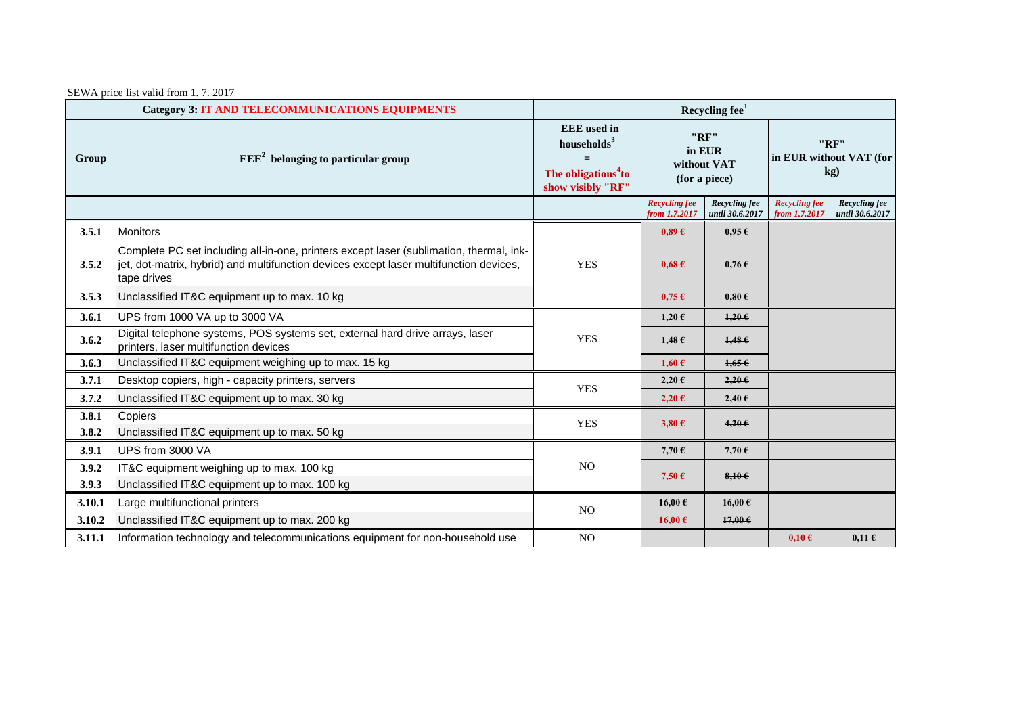SEWA price list valid from 1. 7. 2017

| <b>Category 3: IT AND TELECOMMUNICATIONS EQUIPMENTS</b> |                                                                                                                                                                                                  | Recycling fee <sup>1</sup>                                                                   |                                                |                                  |                                        |                                  |  |
|---------------------------------------------------------|--------------------------------------------------------------------------------------------------------------------------------------------------------------------------------------------------|----------------------------------------------------------------------------------------------|------------------------------------------------|----------------------------------|----------------------------------------|----------------------------------|--|
| Group                                                   | $EEE2$ belonging to particular group                                                                                                                                                             | <b>EEE</b> used in<br>households $3$<br>The obligations <sup>4</sup> to<br>show visibly "RF" | "RF"<br>in EUR<br>without VAT<br>(for a piece) |                                  | "RF"<br>in EUR without VAT (for<br>kg) |                                  |  |
|                                                         |                                                                                                                                                                                                  |                                                                                              | <b>Recycling fee</b><br>from 1.7.2017          | Recycling fee<br>until 30.6.2017 | <b>Recycling fee</b><br>from 1.7.2017  | Recycling fee<br>until 30.6.2017 |  |
| 3.5.1                                                   | <b>Monitors</b>                                                                                                                                                                                  |                                                                                              | 0.89E                                          | 0.95E                            |                                        |                                  |  |
| 3.5.2                                                   | Complete PC set including all-in-one, printers except laser (sublimation, thermal, ink-<br>jet, dot-matrix, hybrid) and multifunction devices except laser multifunction devices,<br>tape drives | <b>YES</b>                                                                                   | $0.68 \text{ } \in$                            | 0,766                            |                                        |                                  |  |
| 3.5.3                                                   | Unclassified IT&C equipment up to max. 10 kg                                                                                                                                                     |                                                                                              | $0,75 \in$                                     | 0.80E                            |                                        |                                  |  |
| 3.6.1                                                   | UPS from 1000 VA up to 3000 VA                                                                                                                                                                   |                                                                                              | $1,20 \in$                                     | $1.20 \in$                       |                                        |                                  |  |
| 3.6.2                                                   | Digital telephone systems, POS systems set, external hard drive arrays, laser<br>printers, laser multifunction devices                                                                           | <b>YES</b>                                                                                   | $1,48 \in$                                     | 1,486                            |                                        |                                  |  |
| 3.6.3                                                   | Unclassified IT&C equipment weighing up to max. 15 kg                                                                                                                                            |                                                                                              | $1,60 \text{ }\epsilon$                        | 1,656                            |                                        |                                  |  |
| 3.7.1                                                   | Desktop copiers, high - capacity printers, servers                                                                                                                                               | <b>YES</b>                                                                                   | $2,20 \in$                                     | 2,206                            |                                        |                                  |  |
| 3.7.2                                                   | Unclassified IT&C equipment up to max. 30 kg                                                                                                                                                     |                                                                                              | $2,20 \in$                                     | 2,40.6                           |                                        |                                  |  |
| 3.8.1                                                   | Copiers                                                                                                                                                                                          | <b>YES</b>                                                                                   | $3,80 \in$                                     | 4,200                            |                                        |                                  |  |
| 3.8.2                                                   | Unclassified IT&C equipment up to max. 50 kg                                                                                                                                                     |                                                                                              |                                                |                                  |                                        |                                  |  |
| 3.9.1                                                   | UPS from 3000 VA                                                                                                                                                                                 |                                                                                              | 7,70 $\epsilon$                                | 7,70                             |                                        |                                  |  |
| 3.9.2                                                   | IT&C equipment weighing up to max. 100 kg                                                                                                                                                        | N <sub>O</sub>                                                                               | 7,50 $\epsilon$                                | 8,106                            |                                        |                                  |  |
| 3.9.3                                                   | Unclassified IT&C equipment up to max. 100 kg                                                                                                                                                    |                                                                                              |                                                |                                  |                                        |                                  |  |
| 3.10.1                                                  | Large multifunctional printers                                                                                                                                                                   | NO.                                                                                          | 16,00€                                         | $16,00 \in$                      |                                        |                                  |  |
| 3.10.2                                                  | Unclassified IT&C equipment up to max. 200 kg                                                                                                                                                    |                                                                                              | 16,00€                                         | $17,00 \in$                      |                                        |                                  |  |
| 3.11.1                                                  | Information technology and telecommunications equipment for non-household use                                                                                                                    | N <sub>O</sub>                                                                               |                                                |                                  | $0,10 \in$                             | $0.11 \in$                       |  |